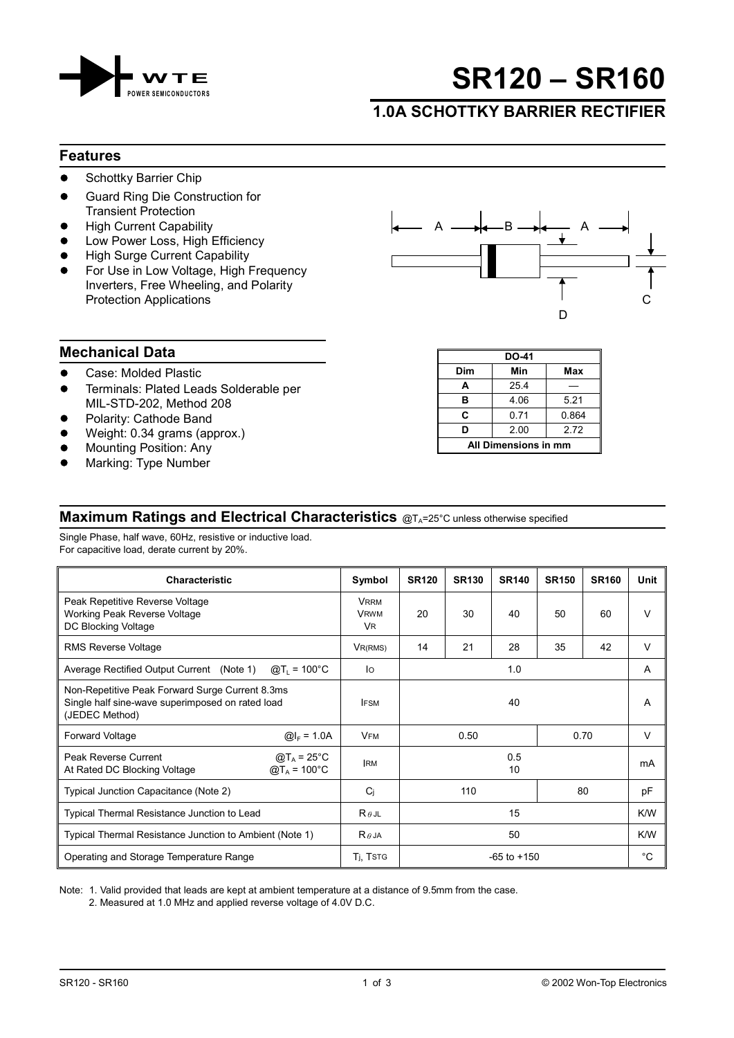

# SR120 – SR160  $WTE$ <br>T.OA SCHOTTKY BARRIER  $\begin{array}{r}\n\bullet \text{ W TE} \\
\hline\n\bullet \text{ PONER SEIMCONDUCIONS}\n\end{array}\n\quad\n\begin{array}{r}\n\bullet \text{ S}\text{R120} - \text{SF} \\
\hline\n\end{array}$

# 1.0A SCHOTTKY BARRIER RECTIFIER

### Features

- Schottky Barrier Chip  $\bullet$
- Guard Ring Die Construction for Transient Protection
- High Current Capability
- Low Power Loss, High Efficiency
- High Surge Current Capability
- For Use in Low Voltage, High Frequency Inverters, Free Wheeling, and Polarity



## Mechanical Data

- Case: Molded Plastic  $\bullet$
- Terminals: Plated Leads Solderable per MIL-STD-202, Method 208
- Polarity: Cathode Band
- Weight: 0.34 grams (approx.)
- Mounting Position: Any
- Marking: Type Number

### DO-41 Dim Min Max  $A$  25.4 B 4.06 5.21 C 0.71 0.864 D 2.00 2.72 All Dimensions in mm

# Maximum Ratings and Electrical Characteristics  $@T_A=25°C$  unless otherwise specified

Single Phase, half wave, 60Hz, resistive or inductive load. For capacitive load, derate current by 20%.

| <b>Characteristic</b>                                                                                                 | Symbol                                             | <b>SR120</b>    | <b>SR130</b> | <b>SR140</b> | <b>SR150</b> | <b>SR160</b> | Unit   |
|-----------------------------------------------------------------------------------------------------------------------|----------------------------------------------------|-----------------|--------------|--------------|--------------|--------------|--------|
| Peak Repetitive Reverse Voltage<br><b>Working Peak Reverse Voltage</b><br>DC Blocking Voltage                         | <b>VRRM</b><br><b>V<sub>RWM</sub></b><br><b>VR</b> | 20              | 30           | 40           | 50           | 60           | V      |
| <b>RMS Reverse Voltage</b>                                                                                            | VR(RMS)                                            | 14              | 21           | 28           | 35           | 42           | $\vee$ |
| Average Rectified Output Current (Note 1)<br>$@T_1 = 100°C$                                                           | lo                                                 | 1.0             |              |              | A            |              |        |
| Non-Repetitive Peak Forward Surge Current 8.3ms<br>Single half sine-wave superimposed on rated load<br>(JEDEC Method) | <b>IFSM</b>                                        | 40              |              | A            |              |              |        |
| <b>Forward Voltage</b><br>@ $I_F = 1.0A$                                                                              | <b>VFM</b>                                         | 0.50<br>0.70    |              |              | $\vee$       |              |        |
| Peak Reverse Current<br>$\omega T_{A}$ = 25°C<br>$@T_A = 100°C$<br>At Rated DC Blocking Voltage                       | <b>IRM</b>                                         | 0.5<br>10       |              |              | mA           |              |        |
| Typical Junction Capacitance (Note 2)                                                                                 | Ci                                                 |                 | 110          |              |              | 80           | pF     |
| Typical Thermal Resistance Junction to Lead                                                                           | $R \theta$ JL                                      |                 |              | 15           |              |              | K/W    |
| Typical Thermal Resistance Junction to Ambient (Note 1)                                                               | $\mathsf R\hspace{0.02cm}\theta$ JA                | 50              |              |              |              | K/W          |        |
| Operating and Storage Temperature Range                                                                               | T <sub>i</sub> , Tstg                              | $-65$ to $+150$ |              |              |              |              | °C     |

Note: 1. Valid provided that leads are kept at ambient temperature at a distance of 9.5mm from the case.

2. Measured at 1.0 MHz and applied reverse voltage of 4.0V D.C.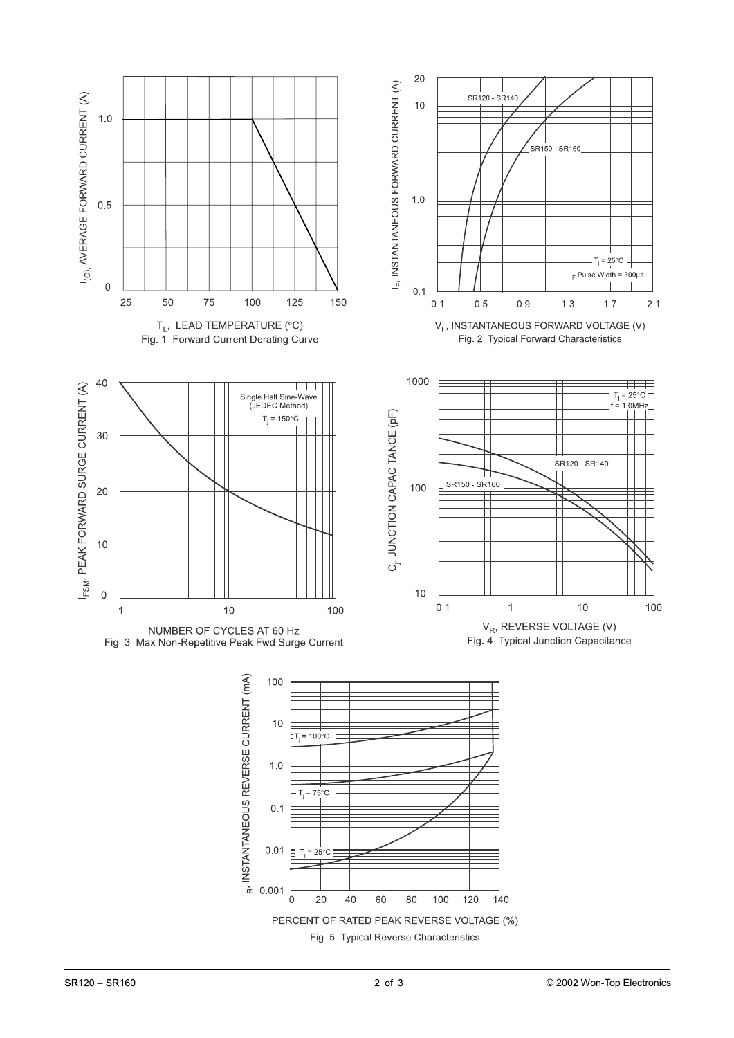

PERCENT OF RATED PEAK REVERSE VOLTAGE (%) Fig. 5 Typical Reverse Characteristics

60

80

100

120

140

 $= 25^{\circ}$ C

20

40

 $0.001$  $\overline{0}$